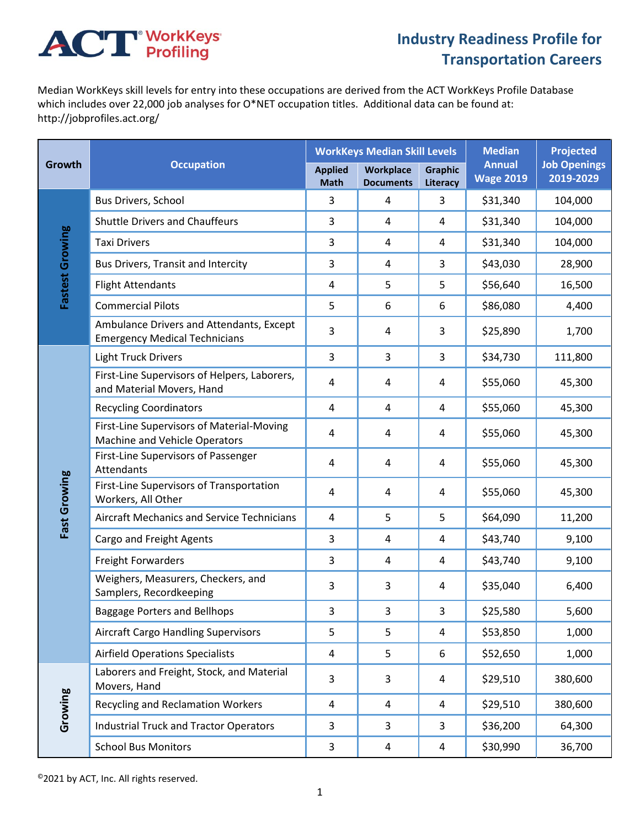## **ACT** WorkKeys

## **Industry Readiness Profile for Transportation Careers**

Median WorkKeys skill levels for entry into these occupations are derived from the ACT WorkKeys Profile Database which includes over 22,000 job analyses for O\*NET occupation titles. Additional data can be found at: http://jobprofiles.act.org/

| Growth          | <b>Occupation</b>                                                                | <b>WorkKeys Median Skill Levels</b> |                                      |                            | <b>Median</b>                     | <b>Projected</b>                 |
|-----------------|----------------------------------------------------------------------------------|-------------------------------------|--------------------------------------|----------------------------|-----------------------------------|----------------------------------|
|                 |                                                                                  | <b>Applied</b><br><b>Math</b>       | <b>Workplace</b><br><b>Documents</b> | <b>Graphic</b><br>Literacy | <b>Annual</b><br><b>Wage 2019</b> | <b>Job Openings</b><br>2019-2029 |
| Fastest Growing | Bus Drivers, School                                                              | 3                                   | 4                                    | 3                          | \$31,340                          | 104,000                          |
|                 | <b>Shuttle Drivers and Chauffeurs</b>                                            | 3                                   | 4                                    | 4                          | \$31,340                          | 104,000                          |
|                 | <b>Taxi Drivers</b>                                                              | 3                                   | 4                                    | 4                          | \$31,340                          | 104,000                          |
|                 | Bus Drivers, Transit and Intercity                                               | 3                                   | 4                                    | 3                          | \$43,030                          | 28,900                           |
|                 | <b>Flight Attendants</b>                                                         | 4                                   | 5                                    | 5                          | \$56,640                          | 16,500                           |
|                 | <b>Commercial Pilots</b>                                                         | 5                                   | 6                                    | 6                          | \$86,080                          | 4,400                            |
|                 | Ambulance Drivers and Attendants, Except<br><b>Emergency Medical Technicians</b> | 3                                   | 4                                    | 3                          | \$25,890                          | 1,700                            |
|                 | <b>Light Truck Drivers</b>                                                       | 3                                   | 3                                    | 3                          | \$34,730                          | 111,800                          |
|                 | First-Line Supervisors of Helpers, Laborers,<br>and Material Movers, Hand        | 4                                   | 4                                    | 4                          | \$55,060                          | 45,300                           |
|                 | <b>Recycling Coordinators</b>                                                    | 4                                   | 4                                    | 4                          | \$55,060                          | 45,300                           |
| Fast Growing    | First-Line Supervisors of Material-Moving<br>Machine and Vehicle Operators       | 4                                   | 4                                    | 4                          | \$55,060                          | 45,300                           |
|                 | First-Line Supervisors of Passenger<br>Attendants                                | $\sqrt{4}$                          | 4                                    | 4                          | \$55,060                          | 45,300                           |
|                 | First-Line Supervisors of Transportation<br>Workers, All Other                   | 4                                   | 4                                    | 4                          | \$55,060                          | 45,300                           |
|                 | <b>Aircraft Mechanics and Service Technicians</b>                                | 4                                   | 5                                    | 5                          | \$64,090                          | 11,200                           |
|                 | Cargo and Freight Agents                                                         | 3                                   | 4                                    | 4                          | \$43,740                          | 9,100                            |
|                 | <b>Freight Forwarders</b>                                                        | 3                                   | 4                                    | 4                          | \$43,740                          | 9,100                            |
|                 | Weighers, Measurers, Checkers, and<br>Samplers, Recordkeeping                    | 3                                   | 3                                    | 4                          | \$35,040                          | 6,400                            |
|                 | <b>Baggage Porters and Bellhops</b>                                              | 3                                   | 3                                    | 3                          | \$25,580                          | 5,600                            |
|                 | <b>Aircraft Cargo Handling Supervisors</b>                                       | 5                                   | 5                                    | 4                          | \$53,850                          | 1,000                            |
|                 | <b>Airfield Operations Specialists</b>                                           | $\overline{a}$                      | 5                                    | 6                          | \$52,650                          | 1,000                            |
| Growing         | Laborers and Freight, Stock, and Material<br>Movers, Hand                        | $\mathsf{3}$                        | 3                                    | 4                          | \$29,510                          | 380,600                          |
|                 | <b>Recycling and Reclamation Workers</b>                                         | $\overline{a}$                      | 4                                    | 4                          | \$29,510                          | 380,600                          |
|                 | <b>Industrial Truck and Tractor Operators</b>                                    | $\mathsf 3$                         | 3                                    | $\mathbf{3}$               | \$36,200                          | 64,300                           |
|                 | <b>School Bus Monitors</b>                                                       | 3                                   | 4                                    | 4                          | \$30,990                          | 36,700                           |

©2021 by ACT, Inc. All rights reserved.